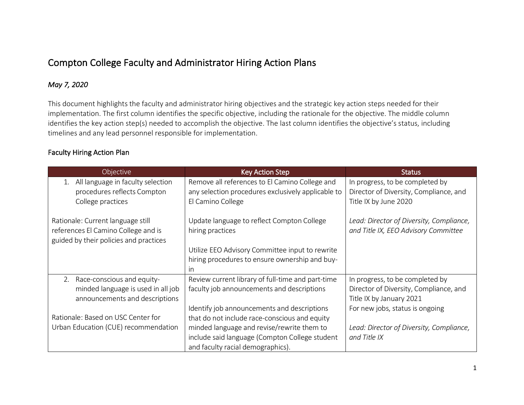## Compton College Faculty and Administrator Hiring Action Plans

## *May 7, 2020*

This document highlights the faculty and administrator hiring objectives and the strategic key action steps needed for their implementation. The first column identifies the specific objective, including the rationale for the objective. The middle column identifies the key action step(s) needed to accomplish the objective. The last column identifies the objective's status, including timelines and any lead personnel responsible for implementation.

## Faculty Hiring Action Plan

| Objective                                                                                                          | <b>Key Action Step</b>                                                                                                                                                             | <b>Status</b>                                                                                                                            |
|--------------------------------------------------------------------------------------------------------------------|------------------------------------------------------------------------------------------------------------------------------------------------------------------------------------|------------------------------------------------------------------------------------------------------------------------------------------|
| All language in faculty selection<br>procedures reflects Compton<br>College practices                              | Remove all references to El Camino College and<br>any selection procedures exclusively applicable to<br>El Camino College                                                          | In progress, to be completed by<br>Director of Diversity, Compliance, and<br>Title IX by June 2020                                       |
| Rationale: Current language still<br>references El Camino College and is<br>guided by their policies and practices | Update language to reflect Compton College<br>hiring practices                                                                                                                     | Lead: Director of Diversity, Compliance,<br>and Title IX, EEO Advisory Committee                                                         |
|                                                                                                                    | Utilize EEO Advisory Committee input to rewrite<br>hiring procedures to ensure ownership and buy-<br>In                                                                            |                                                                                                                                          |
| 2. Race-conscious and equity-<br>minded language is used in all job<br>announcements and descriptions              | Review current library of full-time and part-time<br>faculty job announcements and descriptions<br>Identify job announcements and descriptions                                     | In progress, to be completed by<br>Director of Diversity, Compliance, and<br>Title IX by January 2021<br>For new jobs, status is ongoing |
| Rationale: Based on USC Center for<br>Urban Education (CUE) recommendation                                         | that do not include race-conscious and equity<br>minded language and revise/rewrite them to<br>include said language (Compton College student<br>and faculty racial demographics). | Lead: Director of Diversity, Compliance,<br>and Title IX                                                                                 |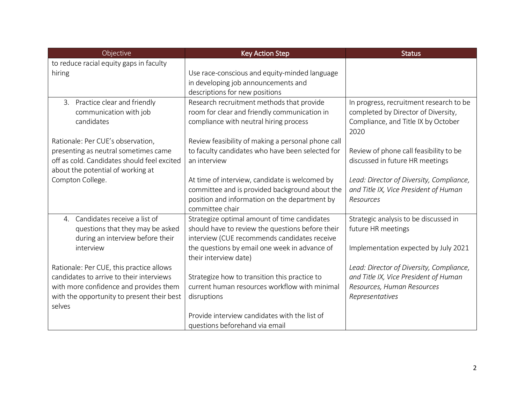| Objective                                   | <b>Key Action Step</b>                                                 | <b>Status</b>                               |
|---------------------------------------------|------------------------------------------------------------------------|---------------------------------------------|
| to reduce racial equity gaps in faculty     |                                                                        |                                             |
| hiring                                      | Use race-conscious and equity-minded language                          |                                             |
|                                             | in developing job announcements and                                    |                                             |
|                                             | descriptions for new positions                                         |                                             |
| 3. Practice clear and friendly              | Research recruitment methods that provide                              | In progress, recruitment research to be     |
| communication with job                      | room for clear and friendly communication in                           | completed by Director of Diversity,         |
| candidates                                  | compliance with neutral hiring process                                 | Compliance, and Title IX by October<br>2020 |
| Rationale: Per CUE's observation,           | Review feasibility of making a personal phone call                     |                                             |
| presenting as neutral sometimes came        | to faculty candidates who have been selected for                       | Review of phone call feasibility to be      |
| off as cold. Candidates should feel excited | an interview                                                           | discussed in future HR meetings             |
| about the potential of working at           |                                                                        |                                             |
| Compton College.                            | At time of interview, candidate is welcomed by                         | Lead: Director of Diversity, Compliance,    |
|                                             | committee and is provided background about the                         | and Title IX, Vice President of Human       |
|                                             | position and information on the department by                          | Resources                                   |
|                                             | committee chair                                                        |                                             |
| Candidates receive a list of<br>4.          | Strategize optimal amount of time candidates                           | Strategic analysis to be discussed in       |
| questions that they may be asked            | should have to review the questions before their                       | future HR meetings                          |
| during an interview before their            | interview (CUE recommends candidates receive                           |                                             |
| interview                                   | the questions by email one week in advance of<br>their interview date) | Implementation expected by July 2021        |
| Rationale: Per CUE, this practice allows    |                                                                        | Lead: Director of Diversity, Compliance,    |
| candidates to arrive to their interviews    | Strategize how to transition this practice to                          | and Title IX, Vice President of Human       |
| with more confidence and provides them      | current human resources workflow with minimal                          | Resources, Human Resources                  |
| with the opportunity to present their best  | disruptions                                                            | Representatives                             |
| selves                                      |                                                                        |                                             |
|                                             | Provide interview candidates with the list of                          |                                             |
|                                             | questions beforehand via email                                         |                                             |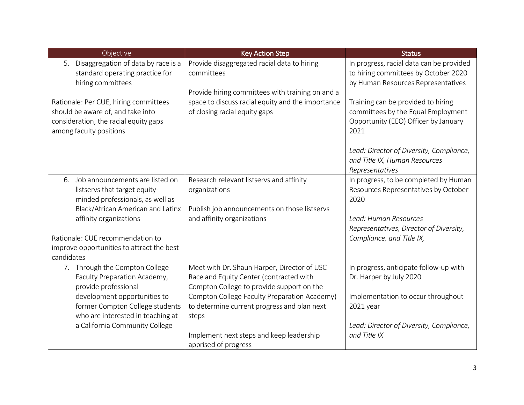| Objective                                                                                                                                                                 | <b>Key Action Step</b>                                                                                                                                                              | <b>Status</b>                                                                                                                                             |
|---------------------------------------------------------------------------------------------------------------------------------------------------------------------------|-------------------------------------------------------------------------------------------------------------------------------------------------------------------------------------|-----------------------------------------------------------------------------------------------------------------------------------------------------------|
| Disaggregation of data by race is a<br>5.<br>standard operating practice for<br>hiring committees                                                                         | Provide disaggregated racial data to hiring<br>committees<br>Provide hiring committees with training on and a                                                                       | In progress, racial data can be provided<br>to hiring committees by October 2020<br>by Human Resources Representatives                                    |
| Rationale: Per CUE, hiring committees<br>should be aware of, and take into<br>consideration, the racial equity gaps<br>among faculty positions                            | space to discuss racial equity and the importance<br>of closing racial equity gaps                                                                                                  | Training can be provided to hiring<br>committees by the Equal Employment<br>Opportunity (EEO) Officer by January<br>2021                                  |
|                                                                                                                                                                           |                                                                                                                                                                                     | Lead: Director of Diversity, Compliance,<br>and Title IX, Human Resources<br>Representatives                                                              |
| Job announcements are listed on<br>6.<br>listservs that target equity-<br>minded professionals, as well as<br>Black/African American and Latinx<br>affinity organizations | Research relevant listservs and affinity<br>organizations<br>Publish job announcements on those listservs<br>and affinity organizations                                             | In progress, to be completed by Human<br>Resources Representatives by October<br>2020<br>Lead: Human Resources<br>Representatives, Director of Diversity, |
| Rationale: CUE recommendation to<br>improve opportunities to attract the best<br>candidates                                                                               |                                                                                                                                                                                     | Compliance, and Title IX,                                                                                                                                 |
| 7. Through the Compton College<br>Faculty Preparation Academy,<br>provide professional<br>development opportunities to                                                    | Meet with Dr. Shaun Harper, Director of USC<br>Race and Equity Center (contracted with<br>Compton College to provide support on the<br>Compton College Faculty Preparation Academy) | In progress, anticipate follow-up with<br>Dr. Harper by July 2020<br>Implementation to occur throughout                                                   |
| former Compton College students<br>who are interested in teaching at<br>a California Community College                                                                    | to determine current progress and plan next<br>steps<br>Implement next steps and keep leadership                                                                                    | 2021 year<br>Lead: Director of Diversity, Compliance,<br>and Title IX                                                                                     |
|                                                                                                                                                                           | apprised of progress                                                                                                                                                                |                                                                                                                                                           |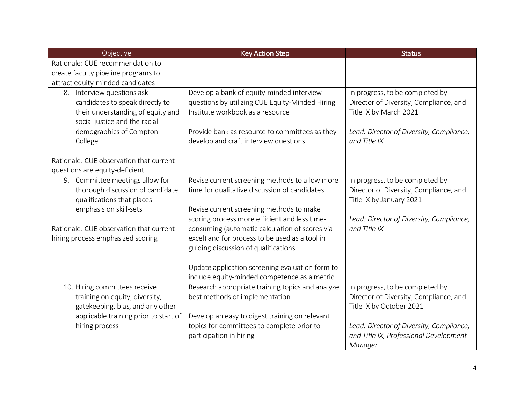| Objective                                                                                           | <b>Key Action Step</b>                                                                                                           | <b>Status</b>                                                                                         |
|-----------------------------------------------------------------------------------------------------|----------------------------------------------------------------------------------------------------------------------------------|-------------------------------------------------------------------------------------------------------|
| Rationale: CUE recommendation to                                                                    |                                                                                                                                  |                                                                                                       |
| create faculty pipeline programs to                                                                 |                                                                                                                                  |                                                                                                       |
| attract equity-minded candidates                                                                    |                                                                                                                                  |                                                                                                       |
| 8. Interview questions ask<br>candidates to speak directly to<br>their understanding of equity and  | Develop a bank of equity-minded interview<br>questions by utilizing CUE Equity-Minded Hiring<br>Institute workbook as a resource | In progress, to be completed by<br>Director of Diversity, Compliance, and<br>Title IX by March 2021   |
| social justice and the racial                                                                       |                                                                                                                                  |                                                                                                       |
| demographics of Compton                                                                             | Provide bank as resource to committees as they                                                                                   | Lead: Director of Diversity, Compliance,                                                              |
| College                                                                                             | develop and craft interview questions                                                                                            | and Title IX                                                                                          |
| Rationale: CUE observation that current<br>questions are equity-deficient                           |                                                                                                                                  |                                                                                                       |
|                                                                                                     |                                                                                                                                  |                                                                                                       |
| 9. Committee meetings allow for<br>thorough discussion of candidate<br>qualifications that places   | Revise current screening methods to allow more<br>time for qualitative discussion of candidates                                  | In progress, to be completed by<br>Director of Diversity, Compliance, and<br>Title IX by January 2021 |
| emphasis on skill-sets                                                                              | Revise current screening methods to make                                                                                         |                                                                                                       |
|                                                                                                     | scoring process more efficient and less time-                                                                                    | Lead: Director of Diversity, Compliance,                                                              |
| Rationale: CUE observation that current                                                             | consuming (automatic calculation of scores via                                                                                   | and Title IX                                                                                          |
| hiring process emphasized scoring                                                                   | excel) and for process to be used as a tool in                                                                                   |                                                                                                       |
|                                                                                                     | guiding discussion of qualifications                                                                                             |                                                                                                       |
|                                                                                                     | Update application screening evaluation form to<br>include equity-minded competence as a metric                                  |                                                                                                       |
| 10. Hiring committees receive<br>training on equity, diversity,<br>gatekeeping, bias, and any other | Research appropriate training topics and analyze<br>best methods of implementation                                               | In progress, to be completed by<br>Director of Diversity, Compliance, and<br>Title IX by October 2021 |
| applicable training prior to start of                                                               | Develop an easy to digest training on relevant                                                                                   |                                                                                                       |
| hiring process                                                                                      | topics for committees to complete prior to<br>participation in hiring                                                            | Lead: Director of Diversity, Compliance,<br>and Title IX, Professional Development<br>Manager         |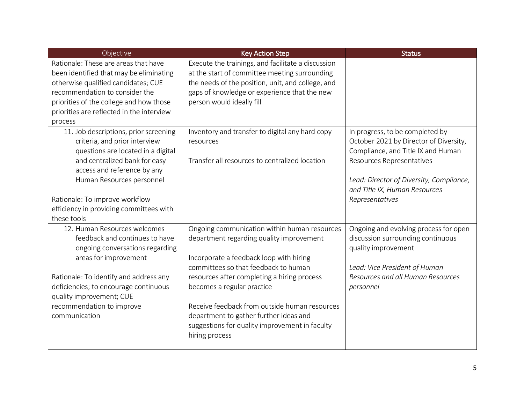| Objective                                                                                                                                                                                                                                                                                             | <b>Key Action Step</b>                                                                                                                                                                                                                                                                                                                                                                                                  | <b>Status</b>                                                                                                                                                                                                                                |
|-------------------------------------------------------------------------------------------------------------------------------------------------------------------------------------------------------------------------------------------------------------------------------------------------------|-------------------------------------------------------------------------------------------------------------------------------------------------------------------------------------------------------------------------------------------------------------------------------------------------------------------------------------------------------------------------------------------------------------------------|----------------------------------------------------------------------------------------------------------------------------------------------------------------------------------------------------------------------------------------------|
| Rationale: These are areas that have<br>been identified that may be eliminating<br>otherwise qualified candidates; CUE<br>recommendation to consider the<br>priorities of the college and how those<br>priorities are reflected in the interview<br>process                                           | Execute the trainings, and facilitate a discussion<br>at the start of committee meeting surrounding<br>the needs of the position, unit, and college, and<br>gaps of knowledge or experience that the new<br>person would ideally fill                                                                                                                                                                                   |                                                                                                                                                                                                                                              |
| 11. Job descriptions, prior screening<br>criteria, and prior interview<br>questions are located in a digital<br>and centralized bank for easy<br>access and reference by any<br>Human Resources personnel<br>Rationale: To improve workflow<br>efficiency in providing committees with<br>these tools | Inventory and transfer to digital any hard copy<br>resources<br>Transfer all resources to centralized location                                                                                                                                                                                                                                                                                                          | In progress, to be completed by<br>October 2021 by Director of Diversity,<br>Compliance, and Title IX and Human<br>Resources Representatives<br>Lead: Director of Diversity, Compliance,<br>and Title IX, Human Resources<br>Representatives |
| 12. Human Resources welcomes<br>feedback and continues to have<br>ongoing conversations regarding<br>areas for improvement<br>Rationale: To identify and address any<br>deficiencies; to encourage continuous<br>quality improvement; CUE<br>recommendation to improve<br>communication               | Ongoing communication within human resources<br>department regarding quality improvement<br>Incorporate a feedback loop with hiring<br>committees so that feedback to human<br>resources after completing a hiring process<br>becomes a regular practice<br>Receive feedback from outside human resources<br>department to gather further ideas and<br>suggestions for quality improvement in faculty<br>hiring process | Ongoing and evolving process for open<br>discussion surrounding continuous<br>quality improvement<br>Lead: Vice President of Human<br>Resources and all Human Resources<br>personnel                                                         |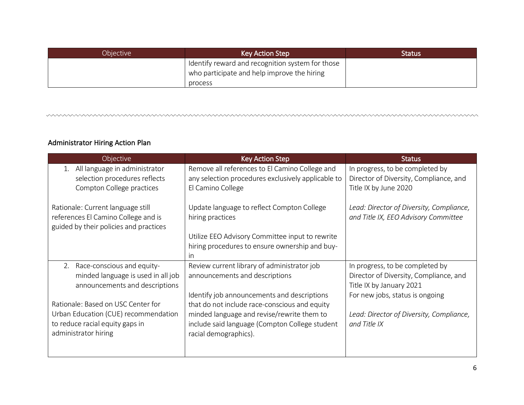| Objective | <b>Key Action Step</b>                           | <b>Status</b> |
|-----------|--------------------------------------------------|---------------|
|           | Identify reward and recognition system for those |               |
|           | who participate and help improve the hiring      |               |
|           | process                                          |               |

## Administrator Hiring Action Plan

| Objective                                                                                             | <b>Key Action Step</b>                                                                                                    | <b>Status</b>                                                                                         |
|-------------------------------------------------------------------------------------------------------|---------------------------------------------------------------------------------------------------------------------------|-------------------------------------------------------------------------------------------------------|
| All language in administrator<br>1.<br>selection procedures reflects<br>Compton College practices     | Remove all references to El Camino College and<br>any selection procedures exclusively applicable to<br>El Camino College | In progress, to be completed by<br>Director of Diversity, Compliance, and<br>Title IX by June 2020    |
| Rationale: Current language still                                                                     | Update language to reflect Compton College                                                                                | Lead: Director of Diversity, Compliance,                                                              |
| references El Camino College and is<br>guided by their policies and practices                         | hiring practices                                                                                                          | and Title IX, EEO Advisory Committee                                                                  |
|                                                                                                       | Utilize EEO Advisory Committee input to rewrite<br>hiring procedures to ensure ownership and buy-                         |                                                                                                       |
|                                                                                                       | <i>in</i>                                                                                                                 |                                                                                                       |
| 2. Race-conscious and equity-<br>minded language is used in all job<br>announcements and descriptions | Review current library of administrator job<br>announcements and descriptions                                             | In progress, to be completed by<br>Director of Diversity, Compliance, and<br>Title IX by January 2021 |
| Rationale: Based on USC Center for                                                                    | Identify job announcements and descriptions<br>that do not include race-conscious and equity                              | For new jobs, status is ongoing                                                                       |
| Urban Education (CUE) recommendation<br>to reduce racial equity gaps in<br>administrator hiring       | minded language and revise/rewrite them to<br>include said language (Compton College student<br>racial demographics).     | Lead: Director of Diversity, Compliance,<br>and Title IX                                              |
|                                                                                                       |                                                                                                                           |                                                                                                       |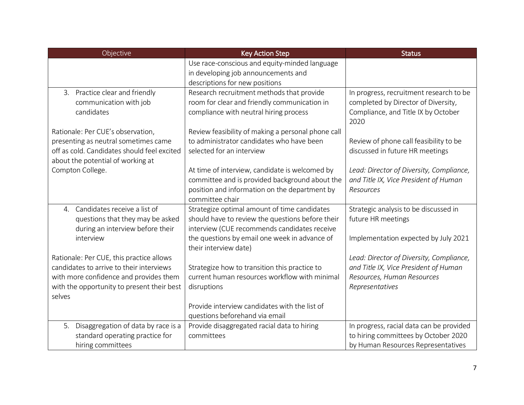| Objective                                                                                                                                                                              | <b>Key Action Step</b>                                                                                                                                                                                                     | <b>Status</b>                                                                                                                      |
|----------------------------------------------------------------------------------------------------------------------------------------------------------------------------------------|----------------------------------------------------------------------------------------------------------------------------------------------------------------------------------------------------------------------------|------------------------------------------------------------------------------------------------------------------------------------|
|                                                                                                                                                                                        | Use race-conscious and equity-minded language                                                                                                                                                                              |                                                                                                                                    |
|                                                                                                                                                                                        | in developing job announcements and<br>descriptions for new positions                                                                                                                                                      |                                                                                                                                    |
| 3. Practice clear and friendly<br>communication with job<br>candidates                                                                                                                 | Research recruitment methods that provide<br>room for clear and friendly communication in<br>compliance with neutral hiring process                                                                                        | In progress, recruitment research to be<br>completed by Director of Diversity,<br>Compliance, and Title IX by October<br>2020      |
| Rationale: Per CUE's observation,<br>presenting as neutral sometimes came<br>off as cold. Candidates should feel excited<br>about the potential of working at                          | Review feasibility of making a personal phone call<br>to administrator candidates who have been<br>selected for an interview                                                                                               | Review of phone call feasibility to be<br>discussed in future HR meetings                                                          |
| Compton College.                                                                                                                                                                       | At time of interview, candidate is welcomed by<br>committee and is provided background about the<br>position and information on the department by<br>committee chair                                                       | Lead: Director of Diversity, Compliance,<br>and Title IX, Vice President of Human<br>Resources                                     |
| Candidates receive a list of<br>4.<br>questions that they may be asked<br>during an interview before their<br>interview                                                                | Strategize optimal amount of time candidates<br>should have to review the questions before their<br>interview (CUE recommends candidates receive<br>the questions by email one week in advance of<br>their interview date) | Strategic analysis to be discussed in<br>future HR meetings<br>Implementation expected by July 2021                                |
| Rationale: Per CUE, this practice allows<br>candidates to arrive to their interviews<br>with more confidence and provides them<br>with the opportunity to present their best<br>selves | Strategize how to transition this practice to<br>current human resources workflow with minimal<br>disruptions                                                                                                              | Lead: Director of Diversity, Compliance,<br>and Title IX, Vice President of Human<br>Resources, Human Resources<br>Representatives |
|                                                                                                                                                                                        | Provide interview candidates with the list of<br>questions beforehand via email                                                                                                                                            |                                                                                                                                    |
| Disaggregation of data by race is a<br>5.<br>standard operating practice for<br>hiring committees                                                                                      | Provide disaggregated racial data to hiring<br>committees                                                                                                                                                                  | In progress, racial data can be provided<br>to hiring committees by October 2020<br>by Human Resources Representatives             |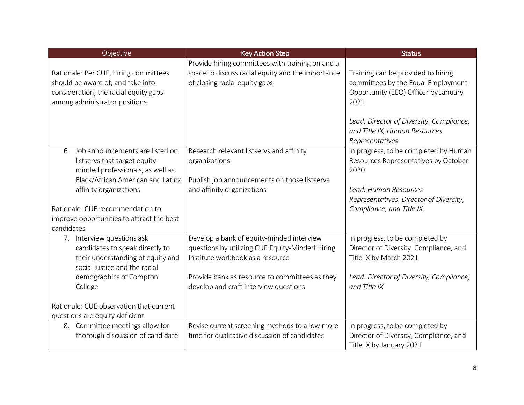| Objective                                                                                                                                                              | <b>Key Action Step</b>                                                                                                                  | <b>Status</b>                                                                                                                                                                                         |
|------------------------------------------------------------------------------------------------------------------------------------------------------------------------|-----------------------------------------------------------------------------------------------------------------------------------------|-------------------------------------------------------------------------------------------------------------------------------------------------------------------------------------------------------|
| Rationale: Per CUE, hiring committees<br>should be aware of, and take into<br>consideration, the racial equity gaps<br>among administrator positions                   | Provide hiring committees with training on and a<br>space to discuss racial equity and the importance<br>of closing racial equity gaps  | Training can be provided to hiring<br>committees by the Equal Employment<br>Opportunity (EEO) Officer by January<br>2021<br>Lead: Director of Diversity, Compliance,<br>and Title IX, Human Resources |
|                                                                                                                                                                        |                                                                                                                                         | Representatives                                                                                                                                                                                       |
| 6. Job announcements are listed on<br>listservs that target equity-<br>minded professionals, as well as<br>Black/African American and Latinx<br>affinity organizations | Research relevant listservs and affinity<br>organizations<br>Publish job announcements on those listservs<br>and affinity organizations | In progress, to be completed by Human<br>Resources Representatives by October<br>2020<br>Lead: Human Resources<br>Representatives, Director of Diversity,                                             |
| Rationale: CUE recommendation to                                                                                                                                       |                                                                                                                                         | Compliance, and Title IX,                                                                                                                                                                             |
| improve opportunities to attract the best                                                                                                                              |                                                                                                                                         |                                                                                                                                                                                                       |
| candidates                                                                                                                                                             |                                                                                                                                         |                                                                                                                                                                                                       |
| 7. Interview questions ask<br>candidates to speak directly to<br>their understanding of equity and<br>social justice and the racial                                    | Develop a bank of equity-minded interview<br>questions by utilizing CUE Equity-Minded Hiring<br>Institute workbook as a resource        | In progress, to be completed by<br>Director of Diversity, Compliance, and<br>Title IX by March 2021                                                                                                   |
| demographics of Compton<br>College                                                                                                                                     | Provide bank as resource to committees as they<br>develop and craft interview questions                                                 | Lead: Director of Diversity, Compliance,<br>and Title IX                                                                                                                                              |
| Rationale: CUE observation that current<br>questions are equity-deficient                                                                                              |                                                                                                                                         |                                                                                                                                                                                                       |
| 8. Committee meetings allow for<br>thorough discussion of candidate                                                                                                    | Revise current screening methods to allow more<br>time for qualitative discussion of candidates                                         | In progress, to be completed by<br>Director of Diversity, Compliance, and<br>Title IX by January 2021                                                                                                 |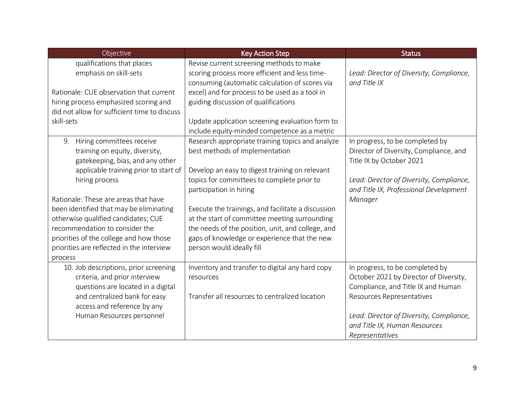| Objective                                    | <b>Key Action Step</b>                             | <b>Status</b>                            |
|----------------------------------------------|----------------------------------------------------|------------------------------------------|
| qualifications that places                   | Revise current screening methods to make           |                                          |
| emphasis on skill-sets                       | scoring process more efficient and less time-      | Lead: Director of Diversity, Compliance, |
|                                              | consuming (automatic calculation of scores via     | and Title IX                             |
| Rationale: CUE observation that current      | excel) and for process to be used as a tool in     |                                          |
| hiring process emphasized scoring and        | guiding discussion of qualifications               |                                          |
| did not allow for sufficient time to discuss |                                                    |                                          |
| skill-sets                                   | Update application screening evaluation form to    |                                          |
|                                              | include equity-minded competence as a metric       |                                          |
| 9. Hiring committees receive                 | Research appropriate training topics and analyze   | In progress, to be completed by          |
| training on equity, diversity,               | best methods of implementation                     | Director of Diversity, Compliance, and   |
| gatekeeping, bias, and any other             |                                                    | Title IX by October 2021                 |
| applicable training prior to start of        | Develop an easy to digest training on relevant     |                                          |
| hiring process                               | topics for committees to complete prior to         | Lead: Director of Diversity, Compliance, |
|                                              | participation in hiring                            | and Title IX, Professional Development   |
| Rationale: These are areas that have         |                                                    | Manager                                  |
| been identified that may be eliminating      | Execute the trainings, and facilitate a discussion |                                          |
| otherwise qualified candidates; CUE          | at the start of committee meeting surrounding      |                                          |
| recommendation to consider the               | the needs of the position, unit, and college, and  |                                          |
| priorities of the college and how those      | gaps of knowledge or experience that the new       |                                          |
| priorities are reflected in the interview    | person would ideally fill                          |                                          |
| process                                      |                                                    |                                          |
| 10. Job descriptions, prior screening        | Inventory and transfer to digital any hard copy    | In progress, to be completed by          |
| criteria, and prior interview                | resources                                          | October 2021 by Director of Diversity,   |
| questions are located in a digital           |                                                    | Compliance, and Title IX and Human       |
| and centralized bank for easy                | Transfer all resources to centralized location     | Resources Representatives                |
| access and reference by any                  |                                                    |                                          |
| Human Resources personnel                    |                                                    | Lead: Director of Diversity, Compliance, |
|                                              |                                                    | and Title IX, Human Resources            |
|                                              |                                                    | Representatives                          |